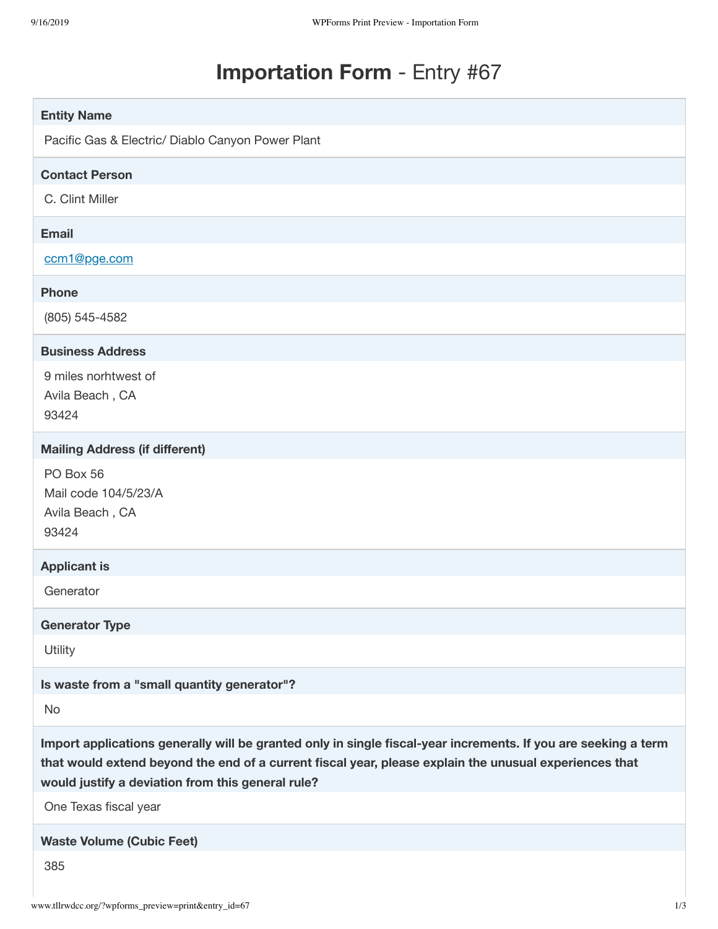## **Importation Form** - Entry #67

| <b>Entity Name</b>                                                                                                                                                                                                                                                            |
|-------------------------------------------------------------------------------------------------------------------------------------------------------------------------------------------------------------------------------------------------------------------------------|
| Pacific Gas & Electric/ Diablo Canyon Power Plant                                                                                                                                                                                                                             |
| <b>Contact Person</b>                                                                                                                                                                                                                                                         |
| C. Clint Miller                                                                                                                                                                                                                                                               |
| <b>Email</b>                                                                                                                                                                                                                                                                  |
| ccm1@pge.com                                                                                                                                                                                                                                                                  |
| <b>Phone</b>                                                                                                                                                                                                                                                                  |
| (805) 545-4582                                                                                                                                                                                                                                                                |
| <b>Business Address</b>                                                                                                                                                                                                                                                       |
| 9 miles norhtwest of<br>Avila Beach, CA<br>93424                                                                                                                                                                                                                              |
| <b>Mailing Address (if different)</b>                                                                                                                                                                                                                                         |
| PO Box 56<br>Mail code 104/5/23/A<br>Avila Beach, CA<br>93424                                                                                                                                                                                                                 |
| <b>Applicant is</b>                                                                                                                                                                                                                                                           |
| Generator                                                                                                                                                                                                                                                                     |
| <b>Generator Type</b>                                                                                                                                                                                                                                                         |
| Utility                                                                                                                                                                                                                                                                       |
| Is waste from a "small quantity generator"?                                                                                                                                                                                                                                   |
| <b>No</b>                                                                                                                                                                                                                                                                     |
| Import applications generally will be granted only in single fiscal-year increments. If you are seeking a term<br>that would extend beyond the end of a current fiscal year, please explain the unusual experiences that<br>would justify a deviation from this general rule? |
| One Texas fiscal year                                                                                                                                                                                                                                                         |
| <b>Waste Volume (Cubic Feet)</b>                                                                                                                                                                                                                                              |
| 385                                                                                                                                                                                                                                                                           |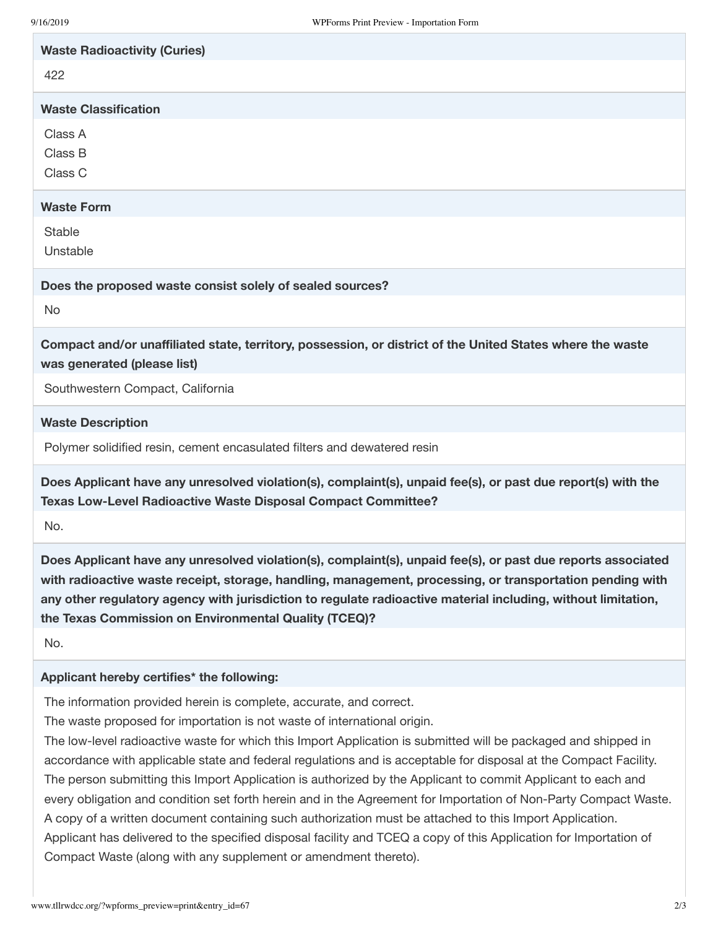| 9/16/2019<br>WPForms Print Preview - Importation Form                                                                                                                                                                                                                                                                                                                                               |
|-----------------------------------------------------------------------------------------------------------------------------------------------------------------------------------------------------------------------------------------------------------------------------------------------------------------------------------------------------------------------------------------------------|
| <b>Waste Radioactivity (Curies)</b><br>422                                                                                                                                                                                                                                                                                                                                                          |
| <b>Waste Classification</b>                                                                                                                                                                                                                                                                                                                                                                         |
| Class A<br>Class B<br>Class C                                                                                                                                                                                                                                                                                                                                                                       |
| <b>Waste Form</b>                                                                                                                                                                                                                                                                                                                                                                                   |
| <b>Stable</b><br>Unstable                                                                                                                                                                                                                                                                                                                                                                           |
| Does the proposed waste consist solely of sealed sources?                                                                                                                                                                                                                                                                                                                                           |
| <b>No</b>                                                                                                                                                                                                                                                                                                                                                                                           |
| Compact and/or unaffiliated state, territory, possession, or district of the United States where the waste<br>was generated (please list)                                                                                                                                                                                                                                                           |
| Southwestern Compact, California                                                                                                                                                                                                                                                                                                                                                                    |
| <b>Waste Description</b>                                                                                                                                                                                                                                                                                                                                                                            |
| Polymer solidified resin, cement encasulated filters and dewatered resin                                                                                                                                                                                                                                                                                                                            |
| Does Applicant have any unresolved violation(s), complaint(s), unpaid fee(s), or past due report(s) with the<br>Texas Low-Level Radioactive Waste Disposal Compact Committee?                                                                                                                                                                                                                       |
| No.                                                                                                                                                                                                                                                                                                                                                                                                 |
| Does Applicant have any unresolved violation(s), complaint(s), unpaid fee(s), or past due reports associated<br>with radioactive waste receipt, storage, handling, management, processing, or transportation pending with<br>any other regulatory agency with jurisdiction to regulate radioactive material including, without limitation,<br>the Texas Commission on Environmental Quality (TCEQ)? |
| No.                                                                                                                                                                                                                                                                                                                                                                                                 |
| Applicant hereby certifies* the following:                                                                                                                                                                                                                                                                                                                                                          |
| The information provided herein is complete, accurate, and correct.                                                                                                                                                                                                                                                                                                                                 |

The waste proposed for importation is not waste of international origin.

The low-level radioactive waste for which this Import Application is submitted will be packaged and shipped in accordance with applicable state and federal regulations and is acceptable for disposal at the Compact Facility. The person submitting this Import Application is authorized by the Applicant to commit Applicant to each and every obligation and condition set forth herein and in the Agreement for Importation of Non-Party Compact Waste. A copy of a written document containing such authorization must be attached to this Import Application. Applicant has delivered to the specified disposal facility and TCEQ a copy of this Application for Importation of Compact Waste (along with any supplement or amendment thereto).